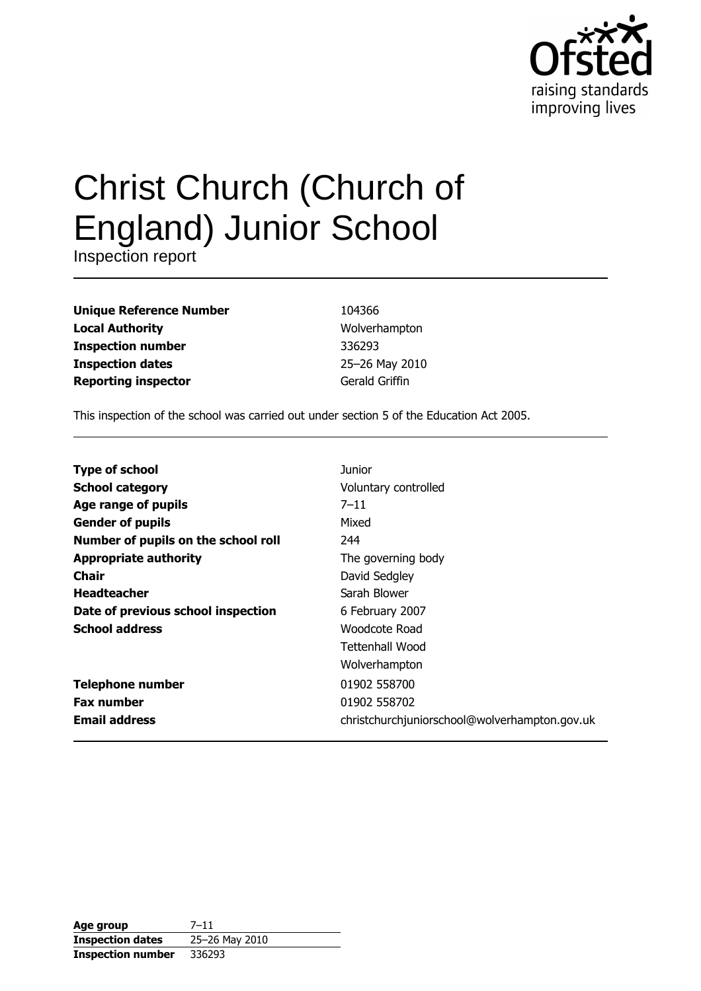

# Christ Church (Church of **England) Junior School**

Inspection report

| <b>Unique Reference Number</b> |
|--------------------------------|
| <b>Local Authority</b>         |
| <b>Inspection number</b>       |
| <b>Inspection dates</b>        |
| <b>Reporting inspector</b>     |

104366 Wolverhampton 336293 25-26 May 2010 Gerald Griffin

This inspection of the school was carried out under section 5 of the Education Act 2005.

| <b>Type of school</b>               | Junior                                        |
|-------------------------------------|-----------------------------------------------|
| <b>School category</b>              | Voluntary controlled                          |
| Age range of pupils                 | $7 - 11$                                      |
| <b>Gender of pupils</b>             | Mixed                                         |
| Number of pupils on the school roll | 244                                           |
| <b>Appropriate authority</b>        | The governing body                            |
| Chair                               | David Sedgley                                 |
| <b>Headteacher</b>                  | Sarah Blower                                  |
| Date of previous school inspection  | 6 February 2007                               |
| <b>School address</b>               | Woodcote Road                                 |
|                                     | Tettenhall Wood                               |
|                                     | Wolverhampton                                 |
| <b>Telephone number</b>             | 01902 558700                                  |
| <b>Fax number</b>                   | 01902 558702                                  |
| <b>Email address</b>                | christchurchjuniorschool@wolverhampton.gov.uk |

| Age group                | $7 - 11$       |
|--------------------------|----------------|
| <b>Inspection dates</b>  | 25-26 May 2010 |
| <b>Inspection number</b> | 336293         |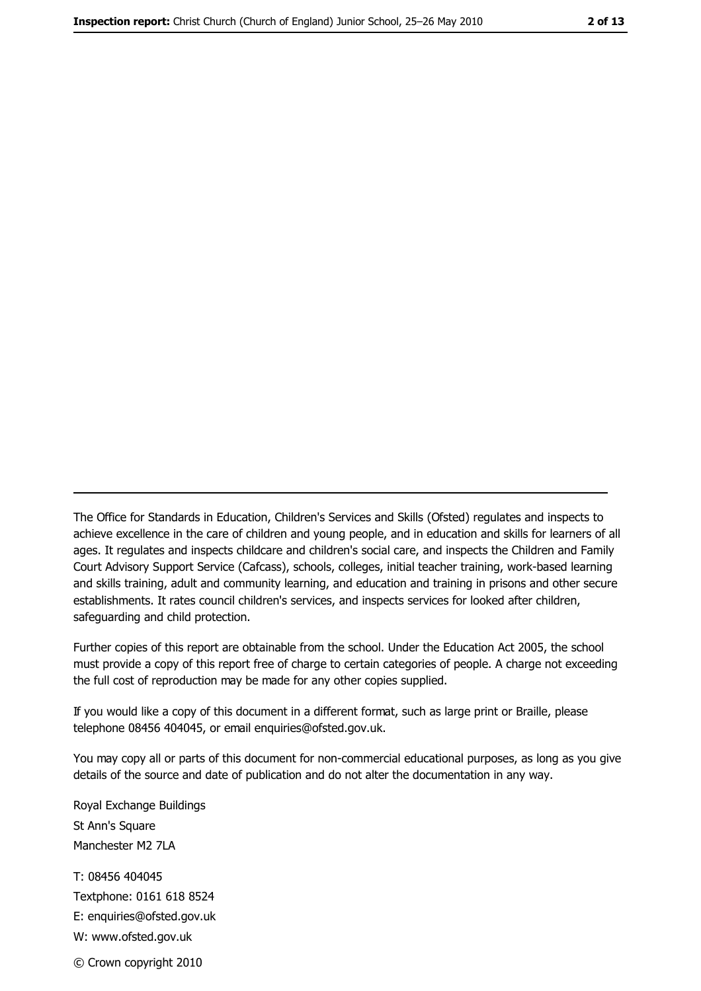The Office for Standards in Education, Children's Services and Skills (Ofsted) regulates and inspects to achieve excellence in the care of children and young people, and in education and skills for learners of all ages. It regulates and inspects childcare and children's social care, and inspects the Children and Family Court Advisory Support Service (Cafcass), schools, colleges, initial teacher training, work-based learning and skills training, adult and community learning, and education and training in prisons and other secure establishments. It rates council children's services, and inspects services for looked after children, safequarding and child protection.

Further copies of this report are obtainable from the school. Under the Education Act 2005, the school must provide a copy of this report free of charge to certain categories of people. A charge not exceeding the full cost of reproduction may be made for any other copies supplied.

If you would like a copy of this document in a different format, such as large print or Braille, please telephone 08456 404045, or email enquiries@ofsted.gov.uk.

You may copy all or parts of this document for non-commercial educational purposes, as long as you give details of the source and date of publication and do not alter the documentation in any way.

Royal Exchange Buildings St Ann's Square Manchester M2 7LA T: 08456 404045 Textphone: 0161 618 8524 E: enquiries@ofsted.gov.uk W: www.ofsted.gov.uk © Crown copyright 2010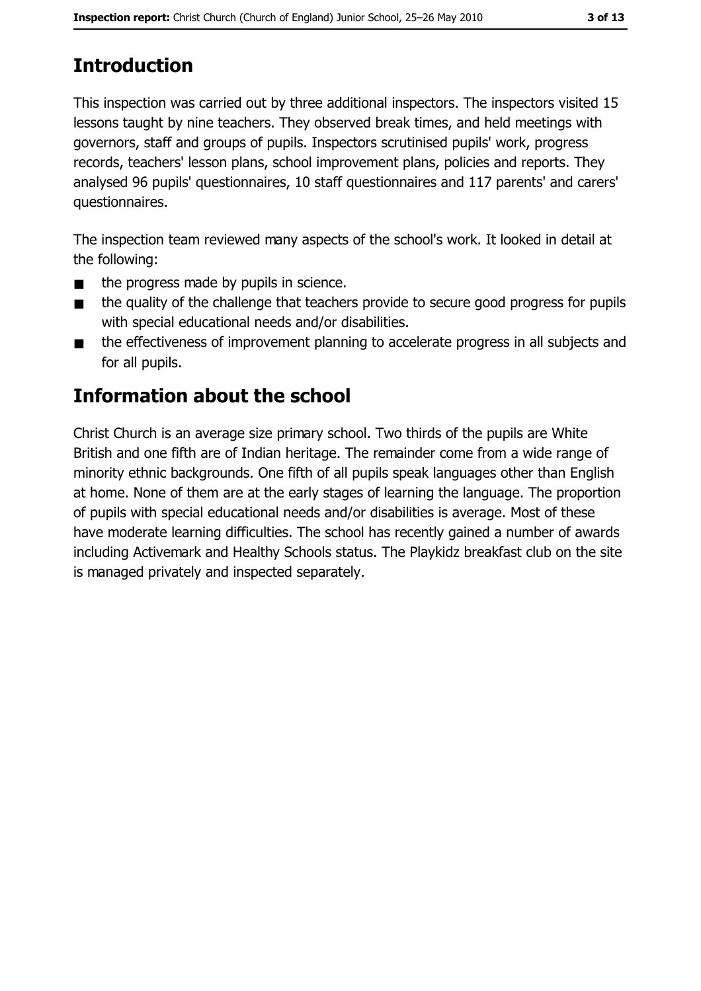## **Introduction**

This inspection was carried out by three additional inspectors. The inspectors visited 15 lessons taught by nine teachers. They observed break times, and held meetings with governors, staff and groups of pupils. Inspectors scrutinised pupils' work, progress records, teachers' lesson plans, school improvement plans, policies and reports. They analysed 96 pupils' questionnaires, 10 staff questionnaires and 117 parents' and carers' questionnaires.

The inspection team reviewed many aspects of the school's work. It looked in detail at the following:

- the progress made by pupils in science.  $\blacksquare$
- the quality of the challenge that teachers provide to secure good progress for pupils  $\blacksquare$ with special educational needs and/or disabilities.
- the effectiveness of improvement planning to accelerate progress in all subjects and  $\blacksquare$ for all pupils.

## **Information about the school**

Christ Church is an average size primary school. Two thirds of the pupils are White British and one fifth are of Indian heritage. The remainder come from a wide range of minority ethnic backgrounds. One fifth of all pupils speak languages other than English at home. None of them are at the early stages of learning the language. The proportion of pupils with special educational needs and/or disabilities is average. Most of these have moderate learning difficulties. The school has recently gained a number of awards including Activemark and Healthy Schools status. The Playkidz breakfast club on the site is managed privately and inspected separately.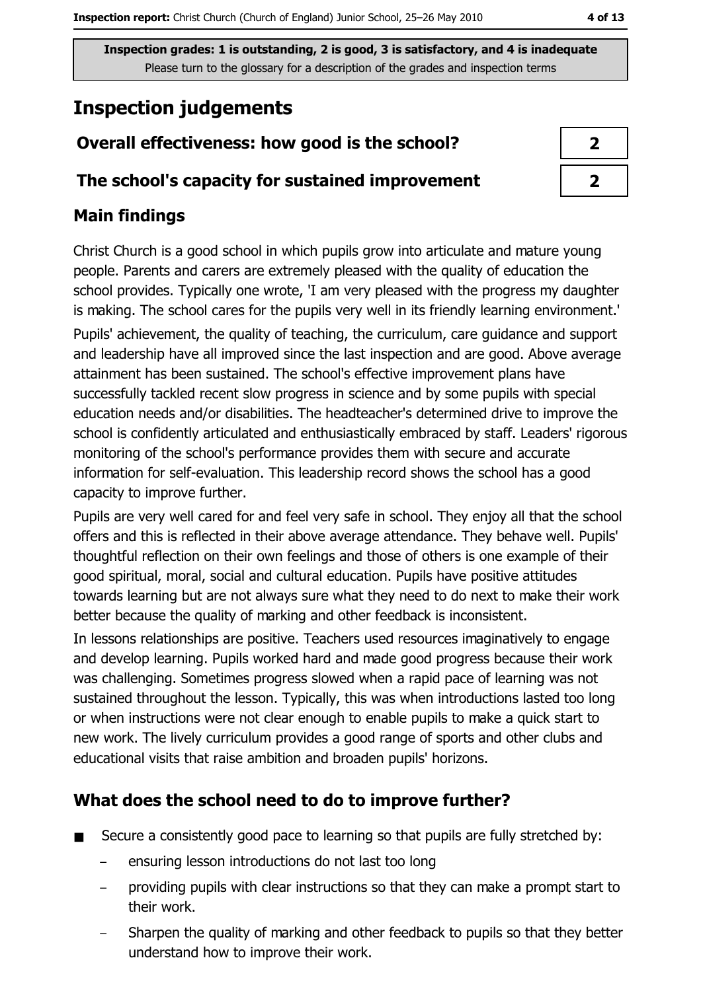Inspection grades: 1 is outstanding, 2 is good, 3 is satisfactory, and 4 is inadequate Please turn to the glossary for a description of the grades and inspection terms

# **Inspection judgements**

## Overall effectiveness: how good is the school?

## The school's capacity for sustained improvement

## **Main findings**

Christ Church is a good school in which pupils grow into articulate and mature young people. Parents and carers are extremely pleased with the quality of education the school provides. Typically one wrote, 'I am very pleased with the progress my daughter is making. The school cares for the pupils very well in its friendly learning environment. Pupils' achievement, the quality of teaching, the curriculum, care guidance and support and leadership have all improved since the last inspection and are good. Above average attainment has been sustained. The school's effective improvement plans have successfully tackled recent slow progress in science and by some pupils with special education needs and/or disabilities. The headteacher's determined drive to improve the school is confidently articulated and enthusiastically embraced by staff. Leaders' rigorous monitoring of the school's performance provides them with secure and accurate information for self-evaluation. This leadership record shows the school has a good capacity to improve further.

Pupils are very well cared for and feel very safe in school. They enjoy all that the school offers and this is reflected in their above average attendance. They behave well. Pupils' thoughtful reflection on their own feelings and those of others is one example of their good spiritual, moral, social and cultural education. Pupils have positive attitudes towards learning but are not always sure what they need to do next to make their work better because the quality of marking and other feedback is inconsistent.

In lessons relationships are positive. Teachers used resources imaginatively to engage and develop learning. Pupils worked hard and made good progress because their work was challenging. Sometimes progress slowed when a rapid pace of learning was not sustained throughout the lesson. Typically, this was when introductions lasted too long or when instructions were not clear enough to enable pupils to make a quick start to new work. The lively curriculum provides a good range of sports and other clubs and educational visits that raise ambition and broaden pupils' horizons.

### What does the school need to do to improve further?

- Secure a consistently good pace to learning so that pupils are fully stretched by:  $\blacksquare$ 
	- ensuring lesson introductions do not last too long
	- providing pupils with clear instructions so that they can make a prompt start to their work.
	- Sharpen the quality of marking and other feedback to pupils so that they better understand how to improve their work.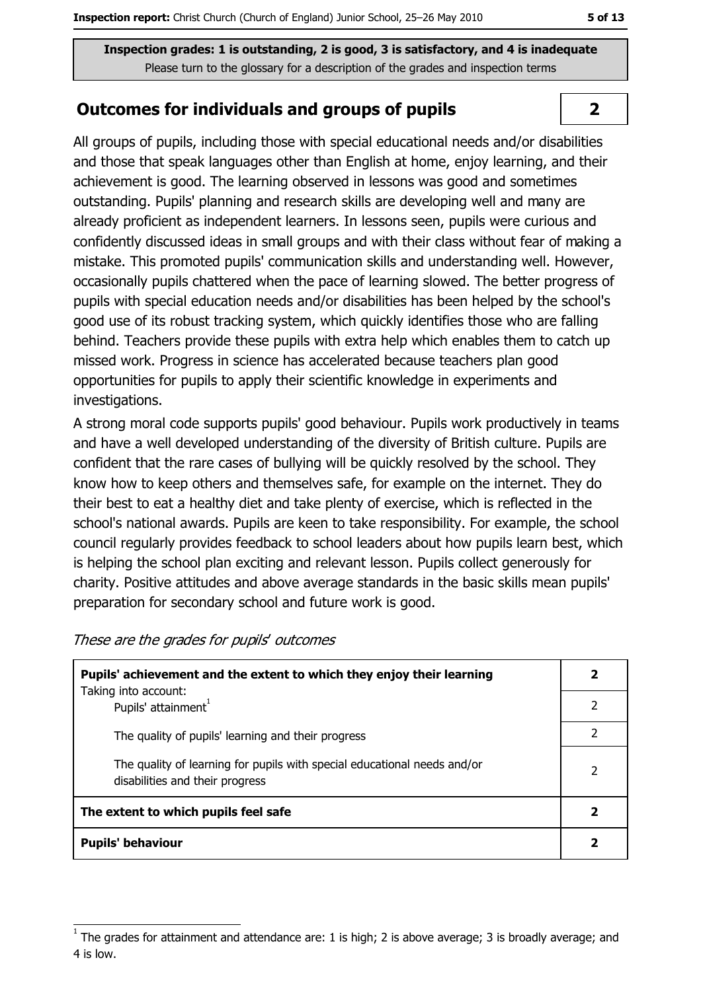Inspection grades: 1 is outstanding, 2 is good, 3 is satisfactory, and 4 is inadequate Please turn to the glossary for a description of the grades and inspection terms

## **Outcomes for individuals and groups of pupils**

All groups of pupils, including those with special educational needs and/or disabilities and those that speak languages other than English at home, enjoy learning, and their achievement is good. The learning observed in lessons was good and sometimes outstanding. Pupils' planning and research skills are developing well and many are already proficient as independent learners. In lessons seen, pupils were curious and confidently discussed ideas in small groups and with their class without fear of making a mistake. This promoted pupils' communication skills and understanding well. However, occasionally pupils chattered when the pace of learning slowed. The better progress of pupils with special education needs and/or disabilities has been helped by the school's good use of its robust tracking system, which quickly identifies those who are falling behind. Teachers provide these pupils with extra help which enables them to catch up missed work. Progress in science has accelerated because teachers plan good opportunities for pupils to apply their scientific knowledge in experiments and investigations.

A strong moral code supports pupils' good behaviour. Pupils work productively in teams and have a well developed understanding of the diversity of British culture. Pupils are confident that the rare cases of bullying will be quickly resolved by the school. They know how to keep others and themselves safe, for example on the internet. They do their best to eat a healthy diet and take plenty of exercise, which is reflected in the school's national awards. Pupils are keen to take responsibility. For example, the school council regularly provides feedback to school leaders about how pupils learn best, which is helping the school plan exciting and relevant lesson. Pupils collect generously for charity. Positive attitudes and above average standards in the basic skills mean pupils' preparation for secondary school and future work is good.

| Pupils' achievement and the extent to which they enjoy their learning                                       |   |  |
|-------------------------------------------------------------------------------------------------------------|---|--|
| Taking into account:<br>Pupils' attainment <sup>1</sup>                                                     |   |  |
| The quality of pupils' learning and their progress                                                          |   |  |
| The quality of learning for pupils with special educational needs and/or<br>disabilities and their progress | 2 |  |
| The extent to which pupils feel safe                                                                        |   |  |
| <b>Pupils' behaviour</b>                                                                                    |   |  |

These are the grades for pupils' outcomes

#### $\overline{2}$

The grades for attainment and attendance are: 1 is high; 2 is above average; 3 is broadly average; and 4 is low.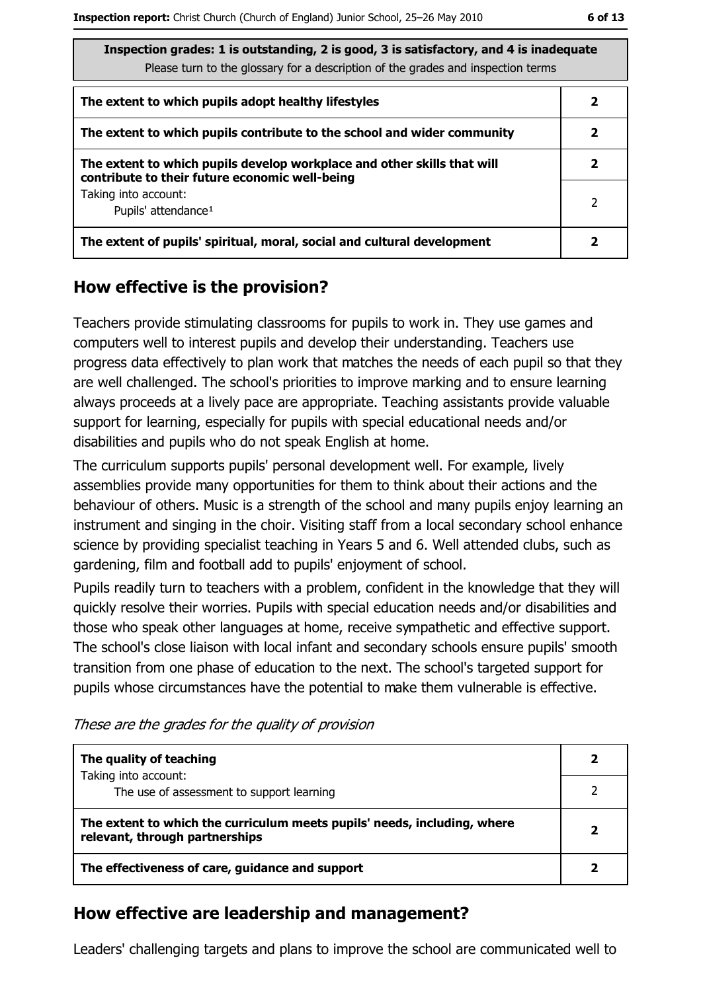| ۰.<br>× | ۰. | ۰.<br>., |
|---------|----|----------|
|---------|----|----------|

| Inspection grades: 1 is outstanding, 2 is good, 3 is satisfactory, and 4 is inadequate |
|----------------------------------------------------------------------------------------|
| Please turn to the glossary for a description of the grades and inspection terms       |

| The extent to which pupils adopt healthy lifestyles                                                                       | 2 |
|---------------------------------------------------------------------------------------------------------------------------|---|
| The extent to which pupils contribute to the school and wider community                                                   |   |
| The extent to which pupils develop workplace and other skills that will<br>contribute to their future economic well-being | 2 |
| Taking into account:<br>Pupils' attendance <sup>1</sup>                                                                   | 2 |
| The extent of pupils' spiritual, moral, social and cultural development                                                   |   |

#### How effective is the provision?

Teachers provide stimulating classrooms for pupils to work in. They use games and computers well to interest pupils and develop their understanding. Teachers use progress data effectively to plan work that matches the needs of each pupil so that they are well challenged. The school's priorities to improve marking and to ensure learning always proceeds at a lively pace are appropriate. Teaching assistants provide valuable support for learning, especially for pupils with special educational needs and/or disabilities and pupils who do not speak English at home.

The curriculum supports pupils' personal development well. For example, lively assemblies provide many opportunities for them to think about their actions and the behaviour of others. Music is a strength of the school and many pupils enjoy learning an instrument and singing in the choir. Visiting staff from a local secondary school enhance science by providing specialist teaching in Years 5 and 6. Well attended clubs, such as gardening, film and football add to pupils' enjoyment of school.

Pupils readily turn to teachers with a problem, confident in the knowledge that they will quickly resolve their worries. Pupils with special education needs and/or disabilities and those who speak other languages at home, receive sympathetic and effective support. The school's close liaison with local infant and secondary schools ensure pupils' smooth transition from one phase of education to the next. The school's targeted support for pupils whose circumstances have the potential to make them vulnerable is effective.

These are the grades for the quality of provision

| The quality of teaching                                                                                    |  |
|------------------------------------------------------------------------------------------------------------|--|
| Taking into account:<br>The use of assessment to support learning                                          |  |
| The extent to which the curriculum meets pupils' needs, including, where<br>relevant, through partnerships |  |
| The effectiveness of care, guidance and support                                                            |  |

#### How effective are leadership and management?

Leaders' challenging targets and plans to improve the school are communicated well to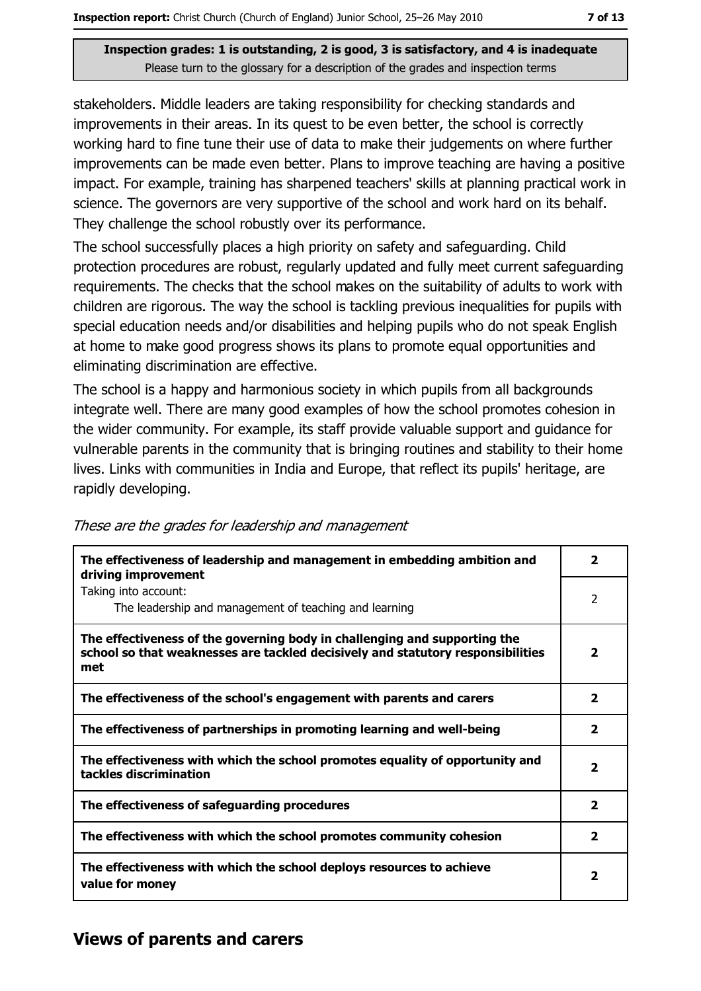#### Inspection grades: 1 is outstanding, 2 is good, 3 is satisfactory, and 4 is inadequate Please turn to the glossary for a description of the grades and inspection terms

stakeholders. Middle leaders are taking responsibility for checking standards and improvements in their areas. In its quest to be even better, the school is correctly working hard to fine tune their use of data to make their judgements on where further improvements can be made even better. Plans to improve teaching are having a positive impact. For example, training has sharpened teachers' skills at planning practical work in science. The governors are very supportive of the school and work hard on its behalf. They challenge the school robustly over its performance.

The school successfully places a high priority on safety and safeguarding. Child protection procedures are robust, regularly updated and fully meet current safeguarding requirements. The checks that the school makes on the suitability of adults to work with children are rigorous. The way the school is tackling previous inequalities for pupils with special education needs and/or disabilities and helping pupils who do not speak English at home to make good progress shows its plans to promote equal opportunities and eliminating discrimination are effective.

The school is a happy and harmonious society in which pupils from all backgrounds integrate well. There are many good examples of how the school promotes cohesion in the wider community. For example, its staff provide valuable support and guidance for vulnerable parents in the community that is bringing routines and stability to their home lives. Links with communities in India and Europe, that reflect its pupils' heritage, are rapidly developing.

| The effectiveness of leadership and management in embedding ambition and<br>driving improvement                                                                     | 2                       |
|---------------------------------------------------------------------------------------------------------------------------------------------------------------------|-------------------------|
| Taking into account:<br>The leadership and management of teaching and learning                                                                                      | 2                       |
| The effectiveness of the governing body in challenging and supporting the<br>school so that weaknesses are tackled decisively and statutory responsibilities<br>met | $\overline{\mathbf{2}}$ |
| The effectiveness of the school's engagement with parents and carers                                                                                                | $\overline{2}$          |
| The effectiveness of partnerships in promoting learning and well-being                                                                                              | $\overline{\mathbf{2}}$ |
| The effectiveness with which the school promotes equality of opportunity and<br>tackles discrimination                                                              | $\overline{2}$          |
| The effectiveness of safeguarding procedures                                                                                                                        | $\mathbf{z}$            |
| The effectiveness with which the school promotes community cohesion                                                                                                 | 2                       |
| The effectiveness with which the school deploys resources to achieve<br>value for money                                                                             | 2                       |

These are the grades for leadership and management

#### **Views of parents and carers**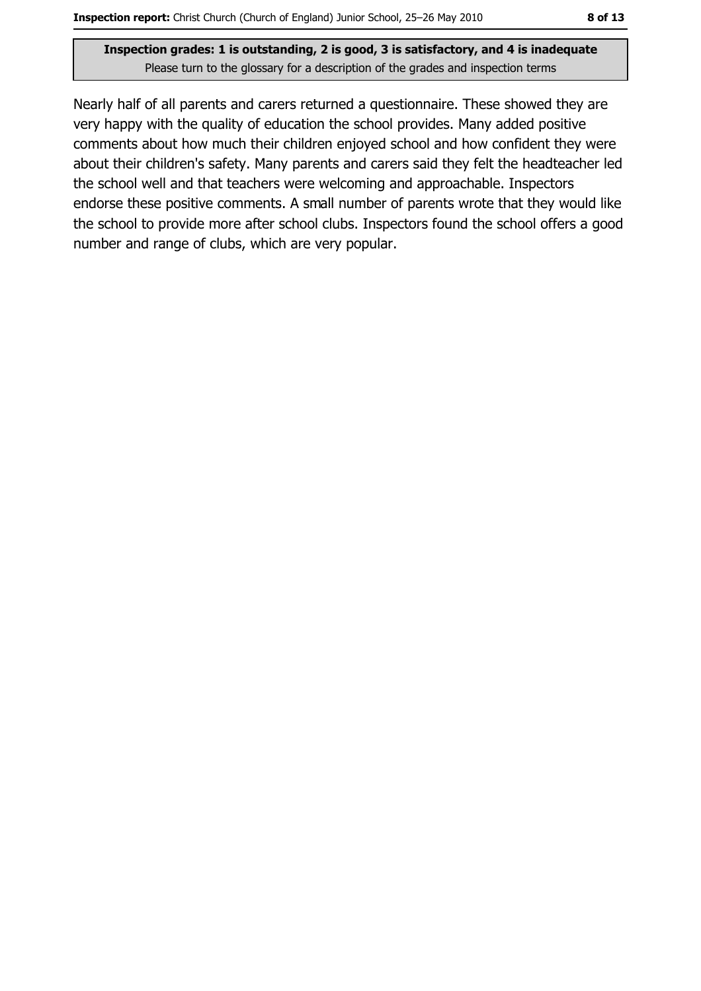Nearly half of all parents and carers returned a questionnaire. These showed they are very happy with the quality of education the school provides. Many added positive comments about how much their children enjoyed school and how confident they were about their children's safety. Many parents and carers said they felt the headteacher led the school well and that teachers were welcoming and approachable. Inspectors endorse these positive comments. A small number of parents wrote that they would like the school to provide more after school clubs. Inspectors found the school offers a good number and range of clubs, which are very popular.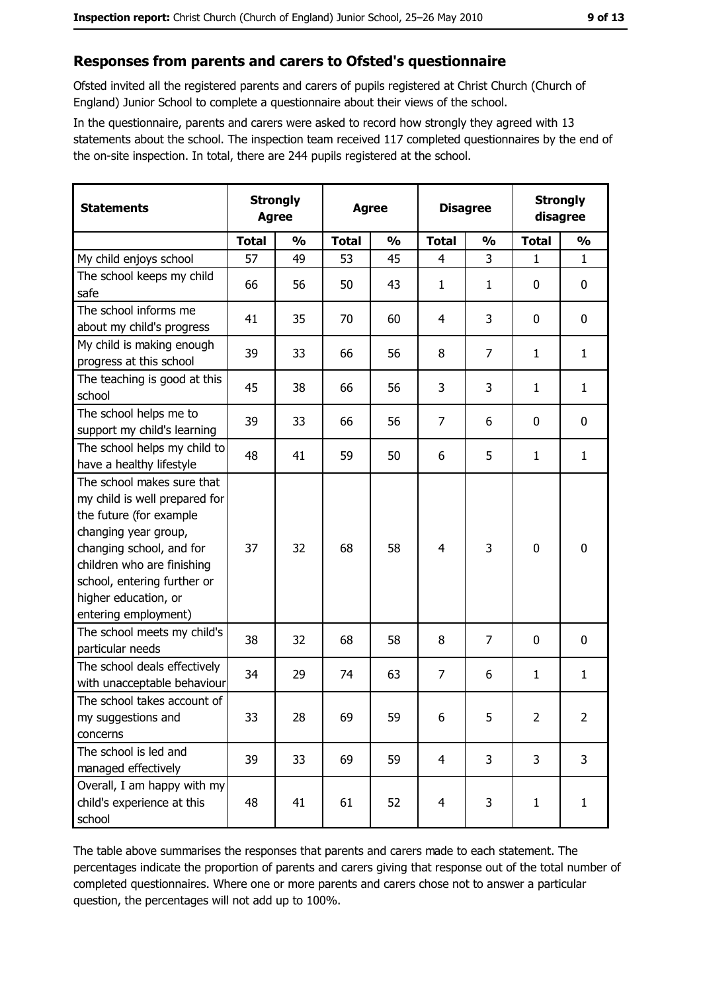#### Responses from parents and carers to Ofsted's questionnaire

Ofsted invited all the registered parents and carers of pupils registered at Christ Church (Church of England) Junior School to complete a questionnaire about their views of the school.

In the questionnaire, parents and carers were asked to record how strongly they agreed with 13 statements about the school. The inspection team received 117 completed questionnaires by the end of the on-site inspection. In total, there are 244 pupils registered at the school.

| <b>Statements</b>                                                                                                                                                                                                                                       |              | <b>Strongly</b><br><b>Agree</b><br><b>Agree</b> |              | <b>Disagree</b> |                |               | <b>Strongly</b><br>disagree |                |
|---------------------------------------------------------------------------------------------------------------------------------------------------------------------------------------------------------------------------------------------------------|--------------|-------------------------------------------------|--------------|-----------------|----------------|---------------|-----------------------------|----------------|
|                                                                                                                                                                                                                                                         | <b>Total</b> | $\frac{0}{0}$                                   | <b>Total</b> | $\frac{0}{0}$   | <b>Total</b>   | $\frac{0}{0}$ | <b>Total</b>                | $\frac{0}{0}$  |
| My child enjoys school                                                                                                                                                                                                                                  | 57           | 49                                              | 53           | 45              | $\overline{4}$ | 3             | 1                           | $\mathbf{1}$   |
| The school keeps my child<br>safe                                                                                                                                                                                                                       | 66           | 56                                              | 50           | 43              | $\mathbf{1}$   | $\mathbf{1}$  | 0                           | $\bf{0}$       |
| The school informs me<br>about my child's progress                                                                                                                                                                                                      | 41           | 35                                              | 70           | 60              | 4              | 3             | 0                           | 0              |
| My child is making enough<br>progress at this school                                                                                                                                                                                                    | 39           | 33                                              | 66           | 56              | 8              | 7             | 1                           | $\mathbf{1}$   |
| The teaching is good at this<br>school                                                                                                                                                                                                                  | 45           | 38                                              | 66           | 56              | 3              | 3             | 1                           | $\mathbf{1}$   |
| The school helps me to<br>support my child's learning                                                                                                                                                                                                   | 39           | 33                                              | 66           | 56              | $\overline{7}$ | 6             | 0                           | 0              |
| The school helps my child to<br>have a healthy lifestyle                                                                                                                                                                                                | 48           | 41                                              | 59           | 50              | 6              | 5             | 1                           | $\mathbf{1}$   |
| The school makes sure that<br>my child is well prepared for<br>the future (for example<br>changing year group,<br>changing school, and for<br>children who are finishing<br>school, entering further or<br>higher education, or<br>entering employment) | 37           | 32                                              | 68           | 58              | $\overline{4}$ | 3             | 0                           | $\mathbf 0$    |
| The school meets my child's<br>particular needs                                                                                                                                                                                                         | 38           | 32                                              | 68           | 58              | 8              | 7             | 0                           | $\mathbf 0$    |
| The school deals effectively<br>with unacceptable behaviour                                                                                                                                                                                             | 34           | 29                                              | 74           | 63              | 7              | 6             | 1                           | $\mathbf{1}$   |
| The school takes account of<br>my suggestions and<br>concerns                                                                                                                                                                                           | 33           | 28                                              | 69           | 59              | 6              | 5             | $\overline{2}$              | $\overline{2}$ |
| The school is led and<br>managed effectively                                                                                                                                                                                                            | 39           | 33                                              | 69           | 59              | $\overline{4}$ | 3             | 3                           | 3              |
| Overall, I am happy with my<br>child's experience at this<br>school                                                                                                                                                                                     | 48           | 41                                              | 61           | 52              | $\overline{4}$ | 3             | 1                           | $\mathbf{1}$   |

The table above summarises the responses that parents and carers made to each statement. The percentages indicate the proportion of parents and carers giving that response out of the total number of completed questionnaires. Where one or more parents and carers chose not to answer a particular question, the percentages will not add up to 100%.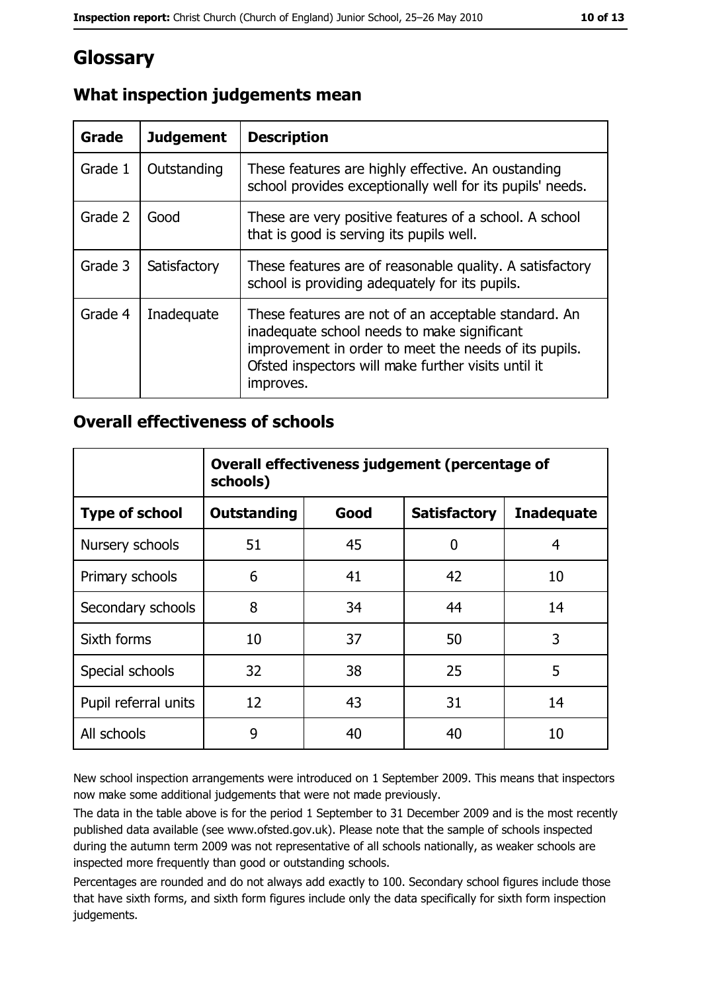## Glossary

| Grade   | <b>Judgement</b> | <b>Description</b>                                                                                                                                                                                                               |
|---------|------------------|----------------------------------------------------------------------------------------------------------------------------------------------------------------------------------------------------------------------------------|
| Grade 1 | Outstanding      | These features are highly effective. An oustanding<br>school provides exceptionally well for its pupils' needs.                                                                                                                  |
| Grade 2 | Good             | These are very positive features of a school. A school<br>that is good is serving its pupils well.                                                                                                                               |
| Grade 3 | Satisfactory     | These features are of reasonable quality. A satisfactory<br>school is providing adequately for its pupils.                                                                                                                       |
| Grade 4 | Inadequate       | These features are not of an acceptable standard. An<br>inadequate school needs to make significant<br>improvement in order to meet the needs of its pupils.<br>Ofsted inspectors will make further visits until it<br>improves. |

#### What inspection judgements mean

#### **Overall effectiveness of schools**

|                       | Overall effectiveness judgement (percentage of<br>schools) |      |                     |                   |
|-----------------------|------------------------------------------------------------|------|---------------------|-------------------|
| <b>Type of school</b> | <b>Outstanding</b>                                         | Good | <b>Satisfactory</b> | <b>Inadequate</b> |
| Nursery schools       | 51                                                         | 45   | 0                   | 4                 |
| Primary schools       | 6                                                          | 41   | 42                  | 10                |
| Secondary schools     | 8                                                          | 34   | 44                  | 14                |
| Sixth forms           | 10                                                         | 37   | 50                  | 3                 |
| Special schools       | 32                                                         | 38   | 25                  | 5                 |
| Pupil referral units  | 12                                                         | 43   | 31                  | 14                |
| All schools           | 9                                                          | 40   | 40                  | 10                |

New school inspection arrangements were introduced on 1 September 2009. This means that inspectors now make some additional judgements that were not made previously.

The data in the table above is for the period 1 September to 31 December 2009 and is the most recently published data available (see www.ofsted.gov.uk). Please note that the sample of schools inspected during the autumn term 2009 was not representative of all schools nationally, as weaker schools are inspected more frequently than good or outstanding schools.

Percentages are rounded and do not always add exactly to 100. Secondary school figures include those that have sixth forms, and sixth form figures include only the data specifically for sixth form inspection judgements.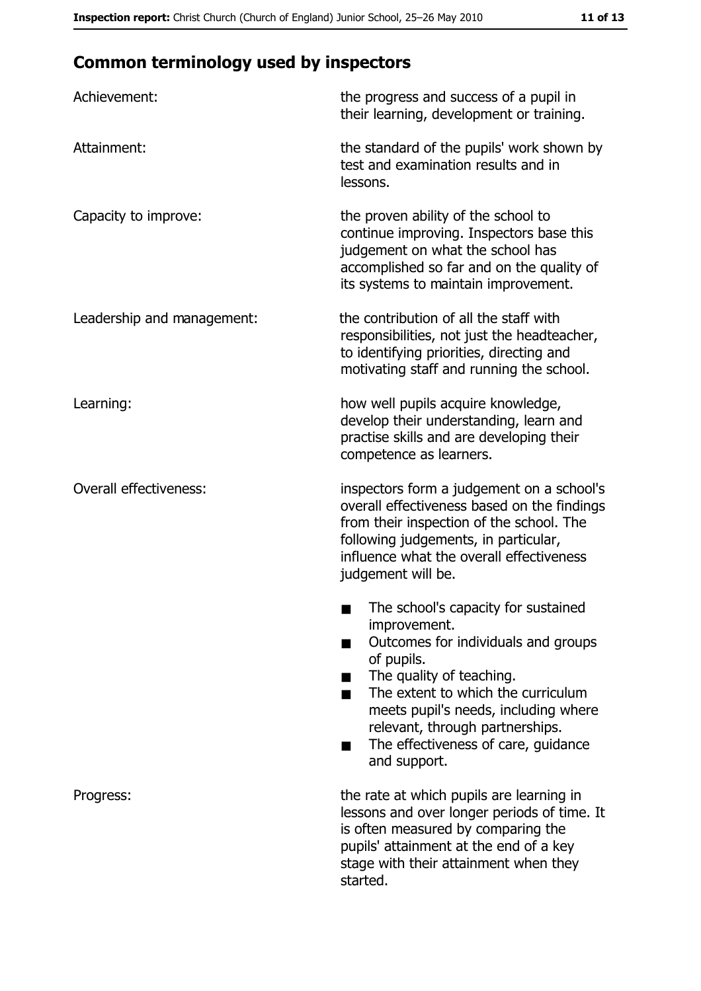## **Common terminology used by inspectors**

| Achievement:                  | the progress and success of a pupil in<br>their learning, development or training.                                                                                                                                                                                                                           |  |  |
|-------------------------------|--------------------------------------------------------------------------------------------------------------------------------------------------------------------------------------------------------------------------------------------------------------------------------------------------------------|--|--|
| Attainment:                   | the standard of the pupils' work shown by<br>test and examination results and in<br>lessons.                                                                                                                                                                                                                 |  |  |
| Capacity to improve:          | the proven ability of the school to<br>continue improving. Inspectors base this<br>judgement on what the school has<br>accomplished so far and on the quality of<br>its systems to maintain improvement.                                                                                                     |  |  |
| Leadership and management:    | the contribution of all the staff with<br>responsibilities, not just the headteacher,<br>to identifying priorities, directing and<br>motivating staff and running the school.                                                                                                                                |  |  |
| Learning:                     | how well pupils acquire knowledge,<br>develop their understanding, learn and<br>practise skills and are developing their<br>competence as learners.                                                                                                                                                          |  |  |
| <b>Overall effectiveness:</b> | inspectors form a judgement on a school's<br>overall effectiveness based on the findings<br>from their inspection of the school. The<br>following judgements, in particular,<br>influence what the overall effectiveness<br>judgement will be.                                                               |  |  |
|                               | The school's capacity for sustained<br>improvement.<br>Outcomes for individuals and groups<br>of pupils.<br>The quality of teaching.<br>The extent to which the curriculum<br>meets pupil's needs, including where<br>relevant, through partnerships.<br>The effectiveness of care, guidance<br>and support. |  |  |
| Progress:                     | the rate at which pupils are learning in<br>lessons and over longer periods of time. It<br>is often measured by comparing the<br>pupils' attainment at the end of a key<br>stage with their attainment when they<br>started.                                                                                 |  |  |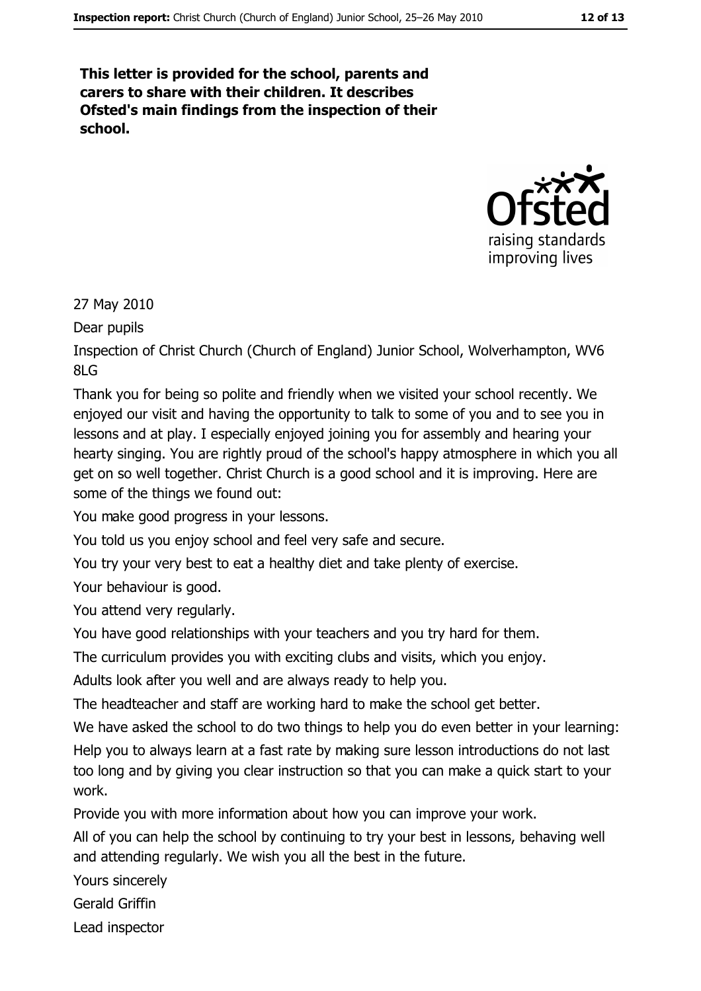This letter is provided for the school, parents and carers to share with their children. It describes Ofsted's main findings from the inspection of their school.



27 May 2010

Dear pupils

Inspection of Christ Church (Church of England) Junior School, Wolverhampton, WV6  $81G$ 

Thank you for being so polite and friendly when we visited your school recently. We enjoyed our visit and having the opportunity to talk to some of you and to see you in lessons and at play. I especially enjoyed joining you for assembly and hearing your hearty singing. You are rightly proud of the school's happy atmosphere in which you all get on so well together. Christ Church is a good school and it is improving. Here are some of the things we found out:

You make good progress in your lessons.

You told us you enjoy school and feel very safe and secure.

You try your very best to eat a healthy diet and take plenty of exercise.

Your behaviour is good.

You attend very regularly.

You have good relationships with your teachers and you try hard for them.

The curriculum provides you with exciting clubs and visits, which you enjoy.

Adults look after you well and are always ready to help you.

The headteacher and staff are working hard to make the school get better.

We have asked the school to do two things to help you do even better in your learning: Help you to always learn at a fast rate by making sure lesson introductions do not last too long and by giving you clear instruction so that you can make a quick start to your work.

Provide you with more information about how you can improve your work.

All of you can help the school by continuing to try your best in lessons, behaving well and attending regularly. We wish you all the best in the future.

Yours sincerely

Gerald Griffin

Lead inspector